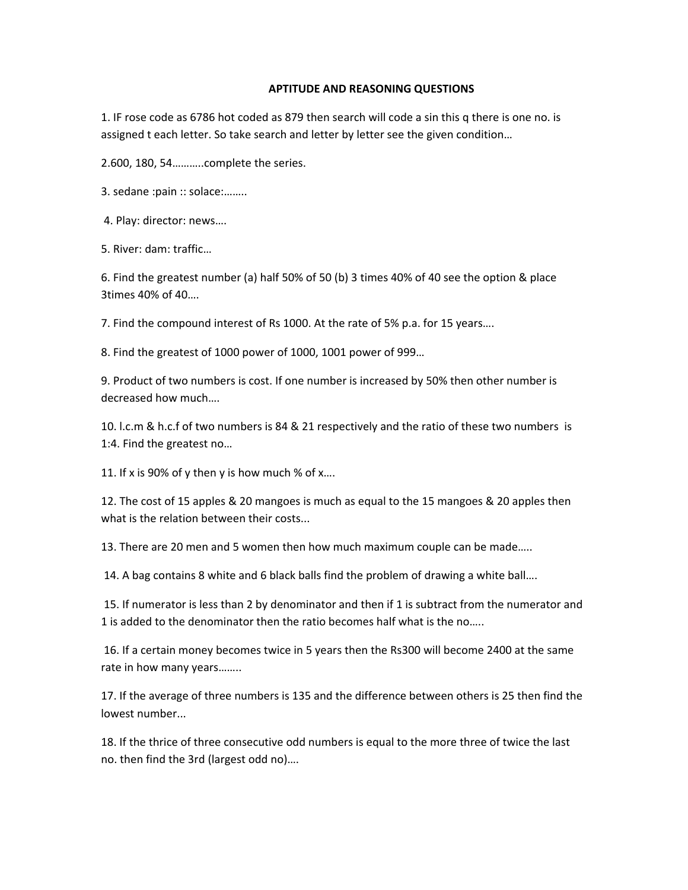## **APTITUDE AND REASONING QUESTIONS**

1. IF rose code as 6786 hot coded as 879 then search will code a sin this q there is one no. is assigned t each letter. So take search and letter by letter see the given condition…

2.600, 180, 54………..complete the series.

3. sedane :pain :: solace:……..

4. Play: director: news….

5. River: dam: traffic…

6. Find the greatest number (a) half 50% of 50 (b) 3 times 40% of 40 see the option & place 3times 40% of 40….

7. Find the compound interest of Rs 1000. At the rate of 5% p.a. for 15 years….

8. Find the greatest of 1000 power of 1000, 1001 power of 999…

9. Product of two numbers is cost. If one number is increased by 50% then other number is decreased how much….

10. l.c.m & h.c.f of two numbers is 84 & 21 respectively and the ratio of these two numbers is 1:4. Find the greatest no…

11. If x is 90% of y then y is how much % of x....

12. The cost of 15 apples & 20 mangoes is much as equal to the 15 mangoes & 20 apples then what is the relation between their costs...

13. There are 20 men and 5 women then how much maximum couple can be made…..

14. A bag contains 8 white and 6 black balls find the problem of drawing a white ball….

 15. If numerator is less than 2 by denominator and then if 1 is subtract from the numerator and 1 is added to the denominator then the ratio becomes half what is the no…..

 16. If a certain money becomes twice in 5 years then the Rs300 will become 2400 at the same rate in how many years……..

17. If the average of three numbers is 135 and the difference between others is 25 then find the lowest number...

18. If the thrice of three consecutive odd numbers is equal to the more three of twice the last no. then find the 3rd (largest odd no)….